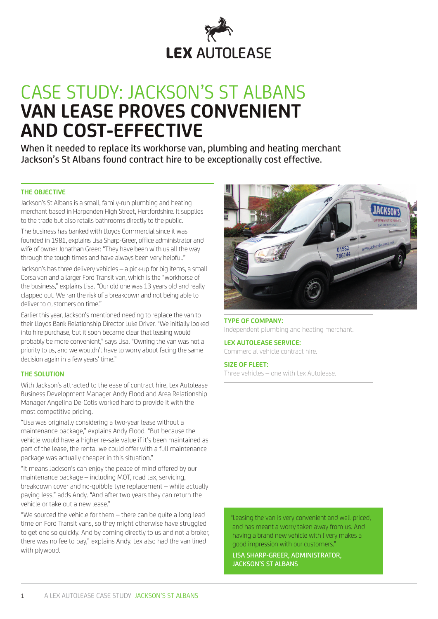

# CASE STUDY: JACKSON'S ST ALBANS **VAN LEASE PROVES CONVENIENT AND COST-EFFECTIVE**

When it needed to replace its workhorse van, plumbing and heating merchant Jackson's St Albans found contract hire to be exceptionally cost effective.

#### **THE OBJECTIVE**

Jackson's St Albans is a small, family-run plumbing and heating merchant based in Harpenden High Street, Hertfordshire. It supplies to the trade but also retails bathrooms directly to the public.

The business has banked with Lloyds Commercial since it was founded in 1981, explains Lisa Sharp-Greer, office administrator and wife of owner Jonathan Greer: "They have been with us all the way through the tough times and have always been very helpful."

Jackson's has three delivery vehicles – a pick-up for big items, a small Corsa van and a larger Ford Transit van, which is the "workhorse of the business," explains Lisa. "Our old one was 13 years old and really clapped out. We ran the risk of a breakdown and not being able to deliver to customers on time."

Earlier this year, Jackson's mentioned needing to replace the van to their Lloyds Bank Relationship Director Luke Driver. "We initially looked into hire purchase, but it soon became clear that leasing would probably be more convenient," says Lisa. "Owning the van was not a priority to us, and we wouldn't have to worry about facing the same decision again in a few years' time."

### **THE SOLUTION**

With Jackson's attracted to the ease of contract hire, Lex Autolease Business Development Manager Andy Flood and Area Relationship Manager Angelina De-Cotis worked hard to provide it with the most competitive pricing.

"Lisa was originally considering a two-year lease without a maintenance package," explains Andy Flood. "But because the vehicle would have a higher re-sale value if it's been maintained as part of the lease, the rental we could offer with a full maintenance package was actually cheaper in this situation."

"It means Jackson's can enjoy the peace of mind offered by our maintenance package – including MOT, road tax, servicing, breakdown cover and no-quibble tyre replacement – while actually paying less," adds Andy. "And after two years they can return the vehicle or take out a new lease."

"We sourced the vehicle for them – there can be quite a long lead time on Ford Transit vans, so they might otherwise have struggled to get one so quickly. And by coming directly to us and not a broker, there was no fee to pay," explains Andy. Lex also had the van lined with plywood.



**TYPE OF COMPANY:** Independent plumbing and heating merchant.

**LEX AUTOLEASE SERVICE:** Commercial vehicle contract hire.

**SIZE OF FLEET:** Three vehicles – one with Lex Autolease.

"Leasing the van is very convenient and well-priced, and has meant a worry taken away from us. And having a brand new vehicle with livery makes a good impression with our customers."

LISA SHARP-GREER, ADMINISTRATOR, JACKSON'S ST ALBANS